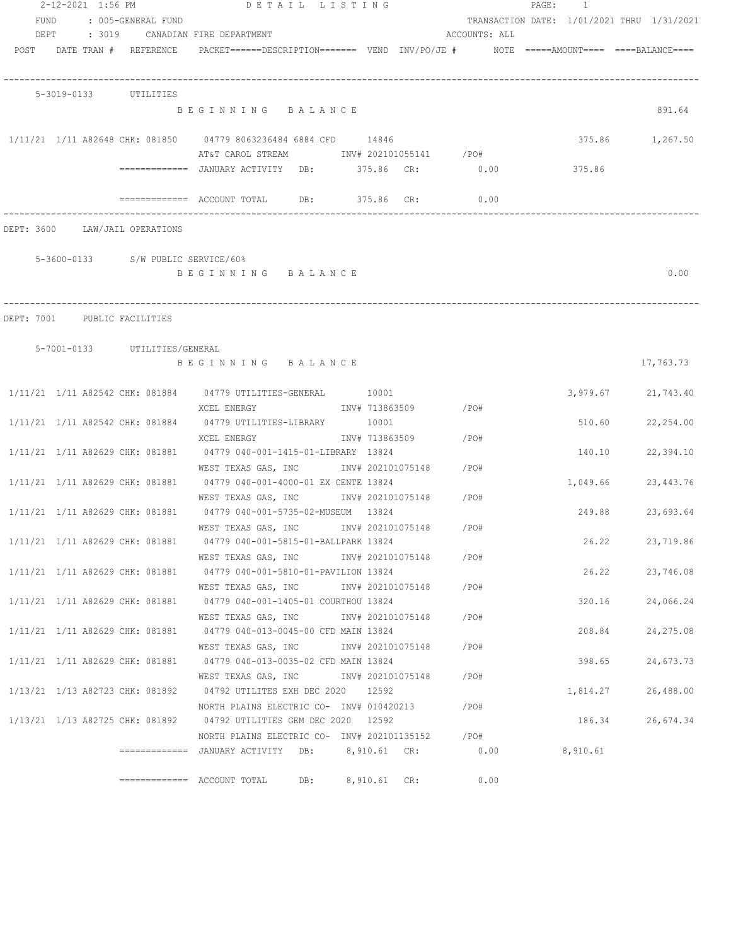|      | 2-12-2021 1:56 PM               |                                    | DETAIL LISTING                                                                          |                   |                   |                        |               | PAGE: 1 |          |                                            |
|------|---------------------------------|------------------------------------|-----------------------------------------------------------------------------------------|-------------------|-------------------|------------------------|---------------|---------|----------|--------------------------------------------|
| FUND |                                 | : 005-GENERAL FUND                 |                                                                                         |                   |                   |                        |               |         |          | TRANSACTION DATE: 1/01/2021 THRU 1/31/2021 |
| DEPT |                                 |                                    | : 3019 CANADIAN FIRE DEPARTMENT                                                         |                   |                   |                        | ACCOUNTS: ALL |         |          |                                            |
|      |                                 | POST DATE TRAN # REFERENCE         | PACKET======DESCRIPTION======= VEND INV/PO/JE #    NOTE =====AMOUNT==== ====BALANCE==== |                   |                   |                        |               |         |          |                                            |
|      |                                 |                                    |                                                                                         |                   |                   |                        |               |         |          |                                            |
|      | 5-3019-0133 UTILITIES           |                                    |                                                                                         |                   |                   |                        |               |         |          |                                            |
|      |                                 |                                    | BEGINNING BALANCE                                                                       |                   |                   |                        |               |         |          | 891.64                                     |
|      |                                 |                                    |                                                                                         |                   |                   |                        |               |         |          |                                            |
|      |                                 |                                    | $1/11/21$ $1/11$ A82648 CHK: 081850 04779 8063236484 6884 CFD 14846                     |                   |                   |                        |               |         |          | 375.86 1,267.50                            |
|      |                                 |                                    | AT&T CAROL STREAM TNV# 202101055141 /PO#                                                |                   |                   |                        |               |         |          |                                            |
|      |                                 |                                    | ============ JANUARY ACTIVITY DB: 375.86 CR: 0.00                                       |                   |                   |                        |               |         | 375.86   |                                            |
|      |                                 |                                    |                                                                                         |                   |                   |                        |               |         |          |                                            |
|      |                                 |                                    | ============= ACCOUNT TOTAL DB: 375.86 CR:                                              |                   |                   |                        | 0.00          |         |          |                                            |
|      |                                 |                                    |                                                                                         |                   |                   |                        |               |         |          |                                            |
|      |                                 | DEPT: 3600 LAW/JAIL OPERATIONS     |                                                                                         |                   |                   |                        |               |         |          |                                            |
|      |                                 | 5-3600-0133 S/W PUBLIC SERVICE/60% |                                                                                         |                   |                   |                        |               |         |          |                                            |
|      |                                 |                                    | BEGINNING BALANCE                                                                       |                   |                   |                        |               |         |          | 0.00                                       |
|      |                                 |                                    |                                                                                         |                   |                   |                        |               |         |          |                                            |
|      |                                 |                                    |                                                                                         |                   |                   |                        |               |         |          |                                            |
|      | DEPT: 7001 PUBLIC FACILITIES    |                                    |                                                                                         |                   |                   |                        |               |         |          |                                            |
|      |                                 |                                    |                                                                                         |                   |                   |                        |               |         |          |                                            |
|      |                                 | 5-7001-0133 UTILITIES/GENERAL      |                                                                                         |                   |                   |                        |               |         |          |                                            |
|      |                                 |                                    | BEGINNING BALANCE                                                                       |                   |                   |                        |               |         |          | 17,763.73                                  |
|      |                                 |                                    | 1/11/21 1/11 A82542 CHK: 081884 04779 UTILITIES-GENERAL 10001                           |                   |                   |                        |               |         |          | 3,979.67 21,743.40                         |
|      |                                 |                                    | XCEL ENERGY                                                                             |                   |                   | INV# 713863509 / PO#   |               |         |          |                                            |
|      |                                 |                                    | 1/11/21 1/11 A82542 CHK: 081884 04779 UTILITIES-LIBRARY 10001                           |                   |                   |                        |               |         | 510.60   | 22,254.00                                  |
|      |                                 |                                    | XCEL ENERGY                                                                             |                   |                   | INV# 713863509 / PO#   |               |         |          |                                            |
|      |                                 |                                    | 1/11/21 1/11 A82629 CHK: 081881 04779 040-001-1415-01-LIBRARY 13824                     |                   |                   |                        |               |         | 140.10   | 22,394.10                                  |
|      |                                 |                                    | WEST TEXAS GAS, INC                                                                     |                   |                   | INV# 202101075148 /PO# |               |         |          |                                            |
|      |                                 |                                    | 1/11/21 1/11 A82629 CHK: 081881 04779 040-001-4000-01 EX CENTE 13824                    |                   |                   |                        |               |         | 1,049.66 | 23, 443. 76                                |
|      |                                 |                                    | WEST TEXAS GAS, INC MOV# 202101075148 /PO#                                              |                   |                   |                        |               |         |          |                                            |
|      |                                 |                                    | 1/11/21 1/11 A82629 CHK: 081881 04779 040-001-5735-02-MUSEUM 13824                      |                   |                   |                        |               |         | 249.88   | 23,693.64                                  |
|      |                                 |                                    | WEST TEXAS GAS, INC NW# 202101075148                                                    |                   |                   | /PO#                   |               |         |          |                                            |
|      |                                 | 1/11/21 1/11 A82629 CHK: 081881    | 04779 040-001-5815-01-BALLPARK 13824                                                    |                   |                   |                        |               |         | 26.22    | 23,719.86                                  |
|      |                                 |                                    | WEST TEXAS GAS, INC MONTH 202101075148                                                  |                   |                   |                        | /PO#          |         |          |                                            |
|      |                                 | 1/11/21 1/11 A82629 CHK: 081881    | 04779 040-001-5810-01-PAVILION 13824                                                    |                   |                   |                        |               |         | 26.22    | 23,746.08                                  |
|      |                                 |                                    | WEST TEXAS GAS, INC                                                                     | INV# 202101075148 |                   |                        | /PO#          |         |          |                                            |
|      |                                 | 1/11/21 1/11 A82629 CHK: 081881    | 04779 040-001-1405-01 COURTHOU 13824                                                    |                   |                   |                        |               |         | 320.16   | 24,066.24                                  |
|      |                                 | 1/11/21 1/11 A82629 CHK: 081881    | WEST TEXAS GAS, INC<br>04779 040-013-0045-00 CFD MAIN 13824                             |                   | INV# 202101075148 |                        | /PO#          |         | 208.84   | 24, 275.08                                 |
|      |                                 |                                    | WEST TEXAS GAS, INC                                                                     |                   | INV# 202101075148 |                        | /PO#          |         |          |                                            |
|      | 1/11/21 1/11 A82629 CHK: 081881 |                                    | 04779 040-013-0035-02 CFD MAIN 13824                                                    |                   |                   |                        |               |         | 398.65   | 24,673.73                                  |
|      |                                 |                                    | WEST TEXAS GAS, INC                                                                     |                   | INV# 202101075148 |                        | /PO#          |         |          |                                            |
|      |                                 | 1/13/21 1/13 A82723 CHK: 081892    | 04792 UTILITES EXH DEC 2020 12592                                                       |                   |                   |                        |               |         | 1,814.27 | 26,488.00                                  |
|      |                                 |                                    | NORTH PLAINS ELECTRIC CO- INV# 010420213                                                |                   |                   |                        | /PO#          |         |          |                                            |
|      |                                 | 1/13/21 1/13 A82725 CHK: 081892    | 04792 UTILITIES GEM DEC 2020 12592                                                      |                   |                   |                        |               |         | 186.34   | 26,674.34                                  |
|      |                                 |                                    | NORTH PLAINS ELECTRIC CO- INV# 202101135152                                             |                   |                   |                        | / PO#         |         |          |                                            |
|      |                                 |                                    | =============   JANUARY  ACTIVITY     DB:          8,910.61    CR:                      |                   |                   |                        | 0.00          |         | 8,910.61 |                                            |
|      |                                 |                                    |                                                                                         |                   |                   |                        |               |         |          |                                            |
|      |                                 |                                    | DB:                                                                                     |                   | 8,910.61 CR:      |                        | 0.00          |         |          |                                            |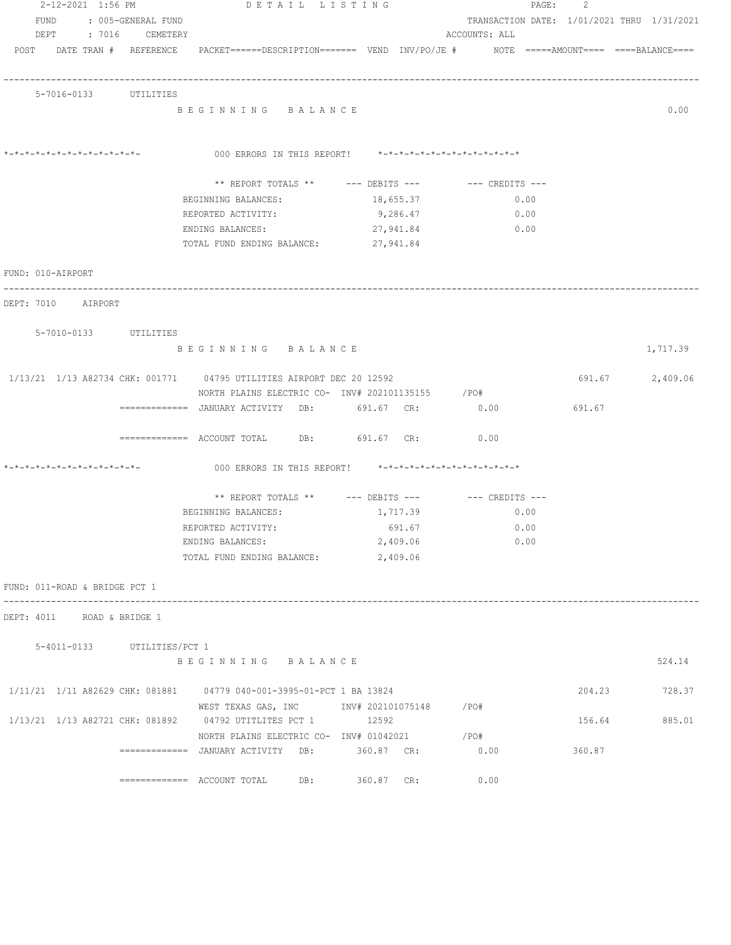| 2-12-2021 1:56 PM |                               |  |                             | DETAIL LISTING                                                                             |            |                               | PAGE: | 2      |                                            |
|-------------------|-------------------------------|--|-----------------------------|--------------------------------------------------------------------------------------------|------------|-------------------------------|-------|--------|--------------------------------------------|
|                   | FUND                          |  | : 005-GENERAL FUND          |                                                                                            |            |                               |       |        | TRANSACTION DATE: 1/01/2021 THRU 1/31/2021 |
|                   |                               |  | DEPT : 7016 CEMETERY        |                                                                                            |            | ACCOUNTS: ALL                 |       |        |                                            |
|                   |                               |  | POST DATE TRAN # REFERENCE  | PACKET======DESCRIPTION======= VEND INV/PO/JE #    NOTE =====AMOUNT==== ====BALANCE====    |            |                               |       |        |                                            |
|                   |                               |  | 5-7016-0133 UTILITIES       |                                                                                            |            |                               |       |        |                                            |
|                   |                               |  |                             | BEGINNING BALANCE                                                                          |            |                               |       |        | 0.00                                       |
|                   | *-*-*-*-*-*-*-*-*-*-*-*-*-*-  |  |                             | 000 ERRORS IN THIS REPORT! *-*-*-*-*-*-*-*-*-*-*-*-*-*-                                    |            |                               |       |        |                                            |
|                   |                               |  |                             | ** REPORT TOTALS ** --- DEBITS --- -- CREDITS ---                                          |            |                               |       |        |                                            |
|                   |                               |  |                             | BEGINNING BALANCES:                                                                        | 18,655.37  |                               | 0.00  |        |                                            |
|                   |                               |  |                             | REPORTED ACTIVITY:                                                                         | 9,286.47   | 0.00                          |       |        |                                            |
|                   |                               |  |                             | ENDING BALANCES:                                                                           | 27,941.84  | 0.00                          |       |        |                                            |
|                   |                               |  |                             | TOTAL FUND ENDING BALANCE:                                                                 | 27,941.84  |                               |       |        |                                            |
|                   | FUND: 010-AIRPORT             |  |                             |                                                                                            |            |                               |       |        |                                            |
|                   | DEPT: 7010 AIRPORT            |  |                             |                                                                                            |            |                               |       |        |                                            |
|                   |                               |  | 5-7010-0133 UTILITIES       |                                                                                            |            |                               |       |        |                                            |
|                   |                               |  |                             | BEGINNING BALANCE                                                                          |            |                               |       |        | 1,717.39                                   |
|                   |                               |  |                             | 1/13/21 1/13 A82734 CHK: 001771 04795 UTILITIES AIRPORT DEC 20 12592                       |            |                               |       | 691.67 | 2,409.06                                   |
|                   |                               |  |                             | NORTH PLAINS ELECTRIC CO- INV# 202101135155 / PO#                                          |            |                               |       |        |                                            |
|                   |                               |  |                             | =============   JANUARY  ACTIVITY     DB:              691.67    CR:                  0.00 |            |                               |       | 691.67 |                                            |
|                   |                               |  |                             | ============= ACCOUNT TOTAL DB: 691.67 CR:                                                 |            | 0.00                          |       |        |                                            |
|                   | *-*-*-*-*-*-*-*-*-*-*-*-*-*-  |  |                             | 000 ERRORS IN THIS REPORT!                                                                 |            | *-*-*-*-*-*-*-*-*-*-*-*-*-*-* |       |        |                                            |
|                   |                               |  |                             | ** REPORT TOTALS ** --- DEBITS ---                                                         |            | --- CREDITS ---               |       |        |                                            |
|                   |                               |  |                             | BEGINNING BALANCES:                                                                        | 1,717.39   | 0.00                          |       |        |                                            |
|                   |                               |  |                             | REPORTED ACTIVITY:                                                                         | 691.67     | 0.00                          |       |        |                                            |
|                   |                               |  |                             | ENDING BALANCES:                                                                           | 2,409.06   |                               | 0.00  |        |                                            |
|                   |                               |  |                             | TOTAL FUND ENDING BALANCE:                                                                 | 2,409.06   |                               |       |        |                                            |
|                   | FUND: 011-ROAD & BRIDGE PCT 1 |  |                             |                                                                                            |            |                               |       |        |                                            |
|                   | DEPT: 4011 ROAD & BRIDGE 1    |  |                             |                                                                                            |            |                               |       |        |                                            |
|                   |                               |  | 5-4011-0133 UTILITIES/PCT 1 |                                                                                            |            |                               |       |        |                                            |
|                   |                               |  |                             | BEGINNING BALANCE                                                                          |            |                               |       |        | 524.14                                     |
|                   |                               |  |                             | 1/11/21 1/11 A82629 CHK: 081881 04779 040-001-3995-01-PCT 1 BA 13824                       |            |                               |       |        | 204.23 728.37                              |
|                   |                               |  |                             | WEST TEXAS GAS, INC       INV# 202101075148     /PO#                                       |            |                               |       |        |                                            |
|                   |                               |  |                             | 1/13/21 1/13 A82721 CHK: 081892 04792 UTITLITES PCT 1 12592                                |            |                               |       | 156.64 | 885.01                                     |
|                   |                               |  |                             | NORTH PLAINS ELECTRIC CO- INV# 01042021 / PO#                                              |            |                               |       |        |                                            |
|                   |                               |  |                             | ============   JANUARY  ACTIVITY     DB:              360.87    CR:                  0.00  |            |                               |       | 360.87 |                                            |
|                   |                               |  |                             | DB:                                                                                        | 360.87 CR: | 0.00                          |       |        |                                            |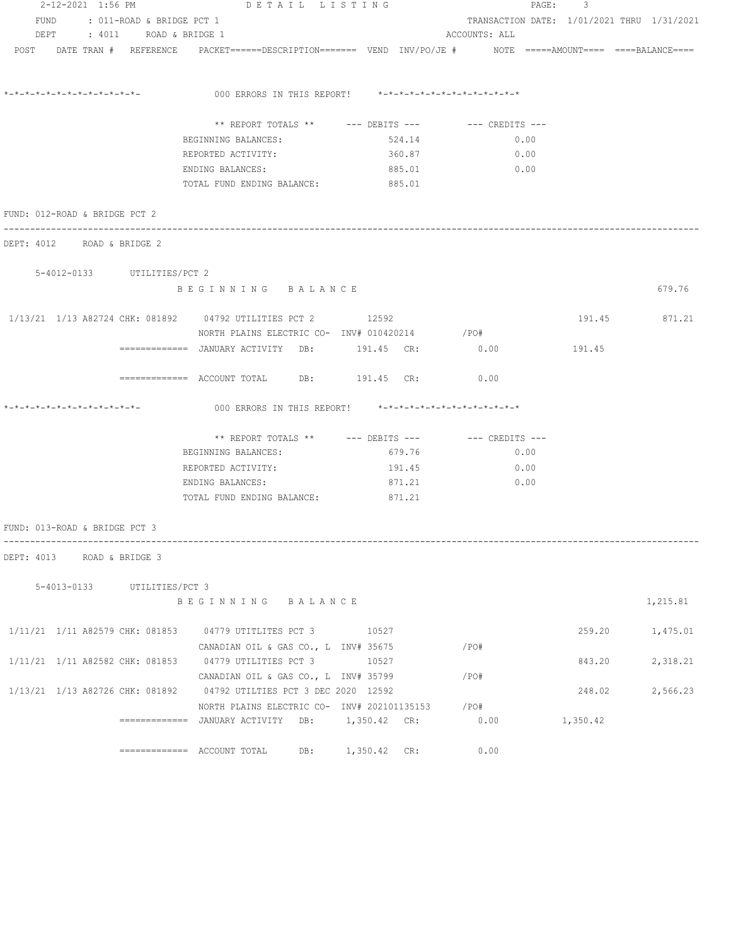| 2-12-2021 1:56 PM              | DETAIL LISTING                                                                                                  |        | PAGE: 3       |          |                                            |
|--------------------------------|-----------------------------------------------------------------------------------------------------------------|--------|---------------|----------|--------------------------------------------|
| FUND : 011-ROAD & BRIDGE PCT 1 |                                                                                                                 |        |               |          | TRANSACTION DATE: 1/01/2021 THRU 1/31/2021 |
| : 4011 ROAD & BRIDGE 1<br>DEPT |                                                                                                                 |        | ACCOUNTS: ALL |          |                                            |
|                                | POST DATE TRAN # REFERENCE PACKET======DESCRIPTION======= VEND INV/PO/JE # NOTE =====AMOUNT==== ====BALANCE==== |        |               |          |                                            |
|                                |                                                                                                                 |        |               |          |                                            |
|                                | *-*-*-*-*-*-*-*-*-*-*-*-*-             000 ERRORS IN THIS REPORT!      *-*-*-*-*-*-*-*-*-*-*-*-*-*              |        |               |          |                                            |
|                                | ** REPORT TOTALS ** --- DEBITS --- -- -- CREDITS ---                                                            |        |               |          |                                            |
|                                | BEGINNING BALANCES:                                                                                             | 524.14 | 0.00          |          |                                            |
|                                | REPORTED ACTIVITY:                                                                                              | 360.87 | 0.00          |          |                                            |
|                                | ENDING BALANCES:                                                                                                | 885.01 | 0.00          |          |                                            |
|                                | TOTAL FUND ENDING BALANCE:                                                                                      | 885.01 |               |          |                                            |
| FUND: 012-ROAD & BRIDGE PCT 2  |                                                                                                                 |        |               |          |                                            |
| DEPT: 4012 ROAD & BRIDGE 2     |                                                                                                                 |        |               |          |                                            |
| 5-4012-0133 UTILITIES/PCT 2    |                                                                                                                 |        |               |          |                                            |
|                                | BEGINNING BALANCE                                                                                               |        |               |          | 679.76                                     |
|                                | 1/13/21 1/13 A82724 CHK: 081892 04792 UTILITIES PCT 2 12592                                                     |        |               |          | 191.45 871.21                              |
|                                | NORTH PLAINS ELECTRIC CO- INV# 010420214 / PO#                                                                  |        |               |          |                                            |
|                                |                                                                                                                 |        |               | 191.45   |                                            |
|                                | ============= ACCOUNT TOTAL DB: 191.45 CR: 0.00                                                                 |        |               |          |                                            |
| *_*_*_*_*_*_*_*_*_*_*_*_*_*_*_ | 000 ERRORS IN THIS REPORT! *-*-*-*-*-*-*-*-*-*-*-*-*-*-                                                         |        |               |          |                                            |
|                                |                                                                                                                 |        |               |          |                                            |
|                                | ** REPORT TOTALS ** --- DEBITS --- -- CREDITS ---                                                               |        |               |          |                                            |
|                                | BEGINNING BALANCES:                                                                                             | 679.76 | 0.00          |          |                                            |
|                                | REPORTED ACTIVITY:                                                                                              | 191.45 | 0.00          |          |                                            |
|                                | ENDING BALANCES:                                                                                                | 871.21 | 0.00          |          |                                            |
|                                | TOTAL FUND ENDING BALANCE: 871.21                                                                               |        |               |          |                                            |
| FUND: 013-ROAD & BRIDGE PCT 3  |                                                                                                                 |        |               |          |                                            |
| DEPT: 4013 ROAD & BRIDGE 3     |                                                                                                                 |        |               |          |                                            |
| 5-4013-0133 UTILITIES/PCT 3    |                                                                                                                 |        |               |          |                                            |
|                                | BEGINNING BALANCE                                                                                               |        |               |          | 1,215.81                                   |
|                                | 1/11/21 1/11 A82579 CHK: 081853 04779 UTITLITES PCT 3 10527                                                     |        |               |          | 259.20 1,475.01                            |
|                                | CANADIAN OIL & GAS CO., L INV# 35675                                                                            |        | /PO#          |          |                                            |
|                                | 1/11/21 1/11 A82582 CHK: 081853 04779 UTILITIES PCT 3 10527                                                     |        |               | 843.20   | 2,318.21                                   |
|                                | CANADIAN OIL & GAS CO., L INV# 35799                                                                            |        | /PO#          |          |                                            |
|                                | 1/13/21 1/13 A82726 CHK: 081892 04792 UTILTIES PCT 3 DEC 2020 12592                                             |        |               | 248.02   | 2,566.23                                   |
|                                | NORTH PLAINS ELECTRIC CO- INV# 202101135153 /PO#                                                                |        |               |          |                                            |
|                                | =============  JANUARY ACTIVITY   DB:        1,350.42   CR:                                                     |        | 0.00          | 1,350.42 |                                            |
|                                |                                                                                                                 |        | 0.00          |          |                                            |
|                                | ============= ACCOUNT TOTAL DB: 1,350.42 CR:                                                                    |        |               |          |                                            |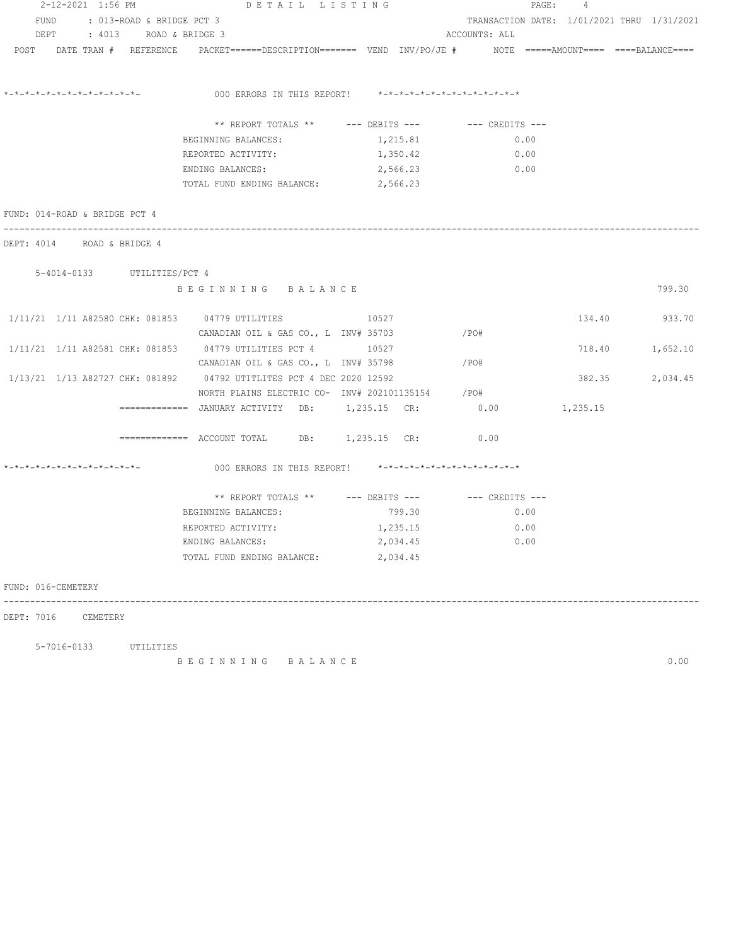| FUND : 013-ROAD & BRIDGE PCT 3<br>TRANSACTION DATE: 1/01/2021 THRU 1/31/2021<br>DEPT<br>: 4013 ROAD & BRIDGE 3<br>ACCOUNTS: ALL<br>POST DATE TRAN # REFERENCE PACKET======DESCRIPTION======= VEND INV/PO/JE # NOTE =====AMOUNT==== ====BALANCE====<br>*-*-*-*-*-*-*-*-*-*-*-*-*-*-<br>000 ERRORS IN THIS REPORT! *-*-*-*-*-*-*-*-*-*-*-*-*-*-<br>** REPORT TOTALS ** $---$ DEBITS --- $---$ CREDITS ---<br>BEGINNING BALANCES:<br>1,215.81<br>0.00<br>REPORTED ACTIVITY:<br>1,350.42<br>0.00<br>ENDING BALANCES:<br>2,566.23<br>0.00<br>2,566.23<br>TOTAL FUND ENDING BALANCE:<br>FUND: 014-ROAD & BRIDGE PCT 4<br>DEPT: 4014 ROAD & BRIDGE 4<br>5-4014-0133 UTILITIES/PCT 4<br>BEGINNING BALANCE<br>799.30<br>1/11/21 1/11 A82580 CHK: 081853 04779 UTILITIES<br>10527<br>134.40 933.70<br>CANADIAN OIL & GAS CO., L $INV# 35703$ /PO#<br>1/11/21 1/11 A82581 CHK: 081853 04779 UTILITIES PCT 4 10527<br>718.40<br>1,652.10<br>CANADIAN OIL & GAS CO., L INV# 35798<br>/PO#<br>1/13/21 1/13 A82727 CHK: 081892 04792 UTITLITES PCT 4 DEC 2020 12592<br>382.35<br>2,034.45<br>NORTH PLAINS ELECTRIC CO- INV# 202101135154 / PO#<br>=============   JANUARY  ACTIVITY     DB:          1,235.15     CR:<br>0.00<br>1,235.15<br>0.00<br>*-*-*-*-*-*-*-*-*-*-*-*-*-*-<br>000 ERRORS IN THIS REPORT! *-*-*-*-*-*-*-*-*-*-*-*-*-*-<br>** REPORT TOTALS ** --- DEBITS --- -- CREDITS ---<br>BEGINNING BALANCES:<br>799.30<br>0.00<br>REPORTED ACTIVITY:<br>1,235.15 0.00<br>2,034.45<br>0.00<br>ENDING BALANCES:<br>2,034.45<br>TOTAL FUND ENDING BALANCE: | 2-12-2021 1:56 PM  | DETAIL LISTING |  | PAGE:<br>4 |  |
|------------------------------------------------------------------------------------------------------------------------------------------------------------------------------------------------------------------------------------------------------------------------------------------------------------------------------------------------------------------------------------------------------------------------------------------------------------------------------------------------------------------------------------------------------------------------------------------------------------------------------------------------------------------------------------------------------------------------------------------------------------------------------------------------------------------------------------------------------------------------------------------------------------------------------------------------------------------------------------------------------------------------------------------------------------------------------------------------------------------------------------------------------------------------------------------------------------------------------------------------------------------------------------------------------------------------------------------------------------------------------------------------------------------------------------------------------------------------------------------------------------------------------------------------------|--------------------|----------------|--|------------|--|
|                                                                                                                                                                                                                                                                                                                                                                                                                                                                                                                                                                                                                                                                                                                                                                                                                                                                                                                                                                                                                                                                                                                                                                                                                                                                                                                                                                                                                                                                                                                                                      |                    |                |  |            |  |
|                                                                                                                                                                                                                                                                                                                                                                                                                                                                                                                                                                                                                                                                                                                                                                                                                                                                                                                                                                                                                                                                                                                                                                                                                                                                                                                                                                                                                                                                                                                                                      |                    |                |  |            |  |
|                                                                                                                                                                                                                                                                                                                                                                                                                                                                                                                                                                                                                                                                                                                                                                                                                                                                                                                                                                                                                                                                                                                                                                                                                                                                                                                                                                                                                                                                                                                                                      |                    |                |  |            |  |
|                                                                                                                                                                                                                                                                                                                                                                                                                                                                                                                                                                                                                                                                                                                                                                                                                                                                                                                                                                                                                                                                                                                                                                                                                                                                                                                                                                                                                                                                                                                                                      |                    |                |  |            |  |
|                                                                                                                                                                                                                                                                                                                                                                                                                                                                                                                                                                                                                                                                                                                                                                                                                                                                                                                                                                                                                                                                                                                                                                                                                                                                                                                                                                                                                                                                                                                                                      |                    |                |  |            |  |
|                                                                                                                                                                                                                                                                                                                                                                                                                                                                                                                                                                                                                                                                                                                                                                                                                                                                                                                                                                                                                                                                                                                                                                                                                                                                                                                                                                                                                                                                                                                                                      |                    |                |  |            |  |
|                                                                                                                                                                                                                                                                                                                                                                                                                                                                                                                                                                                                                                                                                                                                                                                                                                                                                                                                                                                                                                                                                                                                                                                                                                                                                                                                                                                                                                                                                                                                                      |                    |                |  |            |  |
|                                                                                                                                                                                                                                                                                                                                                                                                                                                                                                                                                                                                                                                                                                                                                                                                                                                                                                                                                                                                                                                                                                                                                                                                                                                                                                                                                                                                                                                                                                                                                      |                    |                |  |            |  |
|                                                                                                                                                                                                                                                                                                                                                                                                                                                                                                                                                                                                                                                                                                                                                                                                                                                                                                                                                                                                                                                                                                                                                                                                                                                                                                                                                                                                                                                                                                                                                      |                    |                |  |            |  |
|                                                                                                                                                                                                                                                                                                                                                                                                                                                                                                                                                                                                                                                                                                                                                                                                                                                                                                                                                                                                                                                                                                                                                                                                                                                                                                                                                                                                                                                                                                                                                      |                    |                |  |            |  |
|                                                                                                                                                                                                                                                                                                                                                                                                                                                                                                                                                                                                                                                                                                                                                                                                                                                                                                                                                                                                                                                                                                                                                                                                                                                                                                                                                                                                                                                                                                                                                      |                    |                |  |            |  |
|                                                                                                                                                                                                                                                                                                                                                                                                                                                                                                                                                                                                                                                                                                                                                                                                                                                                                                                                                                                                                                                                                                                                                                                                                                                                                                                                                                                                                                                                                                                                                      |                    |                |  |            |  |
|                                                                                                                                                                                                                                                                                                                                                                                                                                                                                                                                                                                                                                                                                                                                                                                                                                                                                                                                                                                                                                                                                                                                                                                                                                                                                                                                                                                                                                                                                                                                                      |                    |                |  |            |  |
|                                                                                                                                                                                                                                                                                                                                                                                                                                                                                                                                                                                                                                                                                                                                                                                                                                                                                                                                                                                                                                                                                                                                                                                                                                                                                                                                                                                                                                                                                                                                                      |                    |                |  |            |  |
|                                                                                                                                                                                                                                                                                                                                                                                                                                                                                                                                                                                                                                                                                                                                                                                                                                                                                                                                                                                                                                                                                                                                                                                                                                                                                                                                                                                                                                                                                                                                                      |                    |                |  |            |  |
|                                                                                                                                                                                                                                                                                                                                                                                                                                                                                                                                                                                                                                                                                                                                                                                                                                                                                                                                                                                                                                                                                                                                                                                                                                                                                                                                                                                                                                                                                                                                                      |                    |                |  |            |  |
|                                                                                                                                                                                                                                                                                                                                                                                                                                                                                                                                                                                                                                                                                                                                                                                                                                                                                                                                                                                                                                                                                                                                                                                                                                                                                                                                                                                                                                                                                                                                                      |                    |                |  |            |  |
|                                                                                                                                                                                                                                                                                                                                                                                                                                                                                                                                                                                                                                                                                                                                                                                                                                                                                                                                                                                                                                                                                                                                                                                                                                                                                                                                                                                                                                                                                                                                                      |                    |                |  |            |  |
|                                                                                                                                                                                                                                                                                                                                                                                                                                                                                                                                                                                                                                                                                                                                                                                                                                                                                                                                                                                                                                                                                                                                                                                                                                                                                                                                                                                                                                                                                                                                                      |                    |                |  |            |  |
|                                                                                                                                                                                                                                                                                                                                                                                                                                                                                                                                                                                                                                                                                                                                                                                                                                                                                                                                                                                                                                                                                                                                                                                                                                                                                                                                                                                                                                                                                                                                                      |                    |                |  |            |  |
|                                                                                                                                                                                                                                                                                                                                                                                                                                                                                                                                                                                                                                                                                                                                                                                                                                                                                                                                                                                                                                                                                                                                                                                                                                                                                                                                                                                                                                                                                                                                                      |                    |                |  |            |  |
|                                                                                                                                                                                                                                                                                                                                                                                                                                                                                                                                                                                                                                                                                                                                                                                                                                                                                                                                                                                                                                                                                                                                                                                                                                                                                                                                                                                                                                                                                                                                                      |                    |                |  |            |  |
|                                                                                                                                                                                                                                                                                                                                                                                                                                                                                                                                                                                                                                                                                                                                                                                                                                                                                                                                                                                                                                                                                                                                                                                                                                                                                                                                                                                                                                                                                                                                                      |                    |                |  |            |  |
|                                                                                                                                                                                                                                                                                                                                                                                                                                                                                                                                                                                                                                                                                                                                                                                                                                                                                                                                                                                                                                                                                                                                                                                                                                                                                                                                                                                                                                                                                                                                                      |                    |                |  |            |  |
|                                                                                                                                                                                                                                                                                                                                                                                                                                                                                                                                                                                                                                                                                                                                                                                                                                                                                                                                                                                                                                                                                                                                                                                                                                                                                                                                                                                                                                                                                                                                                      |                    |                |  |            |  |
|                                                                                                                                                                                                                                                                                                                                                                                                                                                                                                                                                                                                                                                                                                                                                                                                                                                                                                                                                                                                                                                                                                                                                                                                                                                                                                                                                                                                                                                                                                                                                      |                    |                |  |            |  |
|                                                                                                                                                                                                                                                                                                                                                                                                                                                                                                                                                                                                                                                                                                                                                                                                                                                                                                                                                                                                                                                                                                                                                                                                                                                                                                                                                                                                                                                                                                                                                      | FUND: 016-CEMETERY |                |  |            |  |
| CEMETERY                                                                                                                                                                                                                                                                                                                                                                                                                                                                                                                                                                                                                                                                                                                                                                                                                                                                                                                                                                                                                                                                                                                                                                                                                                                                                                                                                                                                                                                                                                                                             | DEPT: 7016         |                |  |            |  |

5-7016-0133 UTILITIES

B E G I N N I N G B A L A N C E 0.00